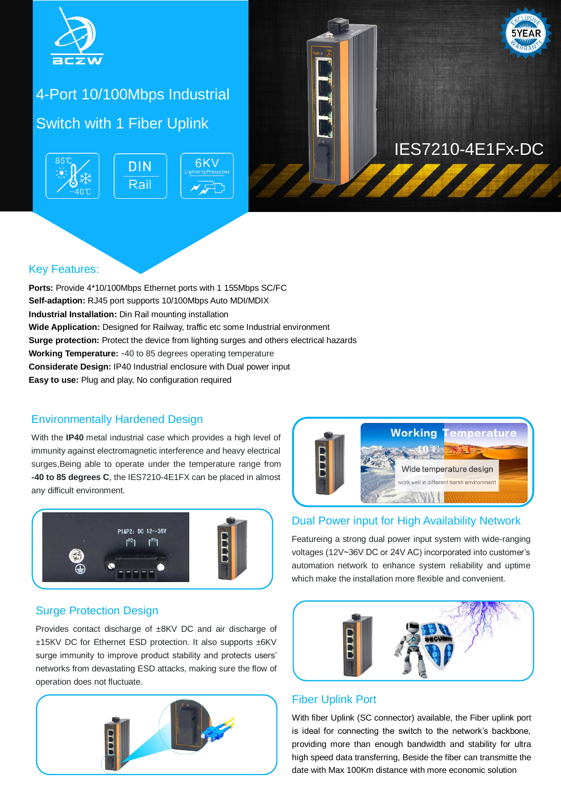

# 4-Port 10/100Mbps Industrial Switch with 1 Fiber Uplink





# IES7210-4E1Fx-DC

### Key Features:

**Ports:** Provide 4\*10/100Mbps Ethernet ports with 1 155Mbps SC/FC **Self-adaption:** RJ45 port supports 10/100Mbps Auto MDI/MDIX **Industrial Installation:** Din Rail mounting installation **Wide Application:** Designed for Railway, traffic etc some Industrial environment **Surge protection:** Protect the device from lighting surges and others electrical hazards **Working Temperature:** -40 to 85 degrees operating temperature **Considerate Design:** IP40 Industrial enclosure with Dual power input **Easy to use:** Plug and play, No configuration required

### Environmentally Hardened Design

With the **IP40** metal industrial case which provides a high level of immunity against electromagnetic interference and heavy electrical surges,Being able to operate under the temperature range from **-40 to 85 degrees C**, the IES7210-4E1FX can be placed in almost any difficult environment.





#### Dual Power input for High Availability Network

Featureing a strong dual power input system with wide-ranging voltages (12V~36V DC or 24V AC) incorporated into customer's automation network to enhance system reliability and uptime which make the installation more flexible and convenient.

### Surge Protection Design

Provides contact discharge of ±8KV DC and air discharge of ±15KV DC for Ethernet ESD protection. It also supports ±6KV surge immunity to improve product stability and protects users' networks from devastating ESD attacks, making sure the flow of operation does not fluctuate.





### Fiber Uplink Port

With fiber Uplink (SC connector) available, the Fiber uplink port is ideal for connecting the switch to the network's backbone, providing more than enough bandwidth and stability for ultra high speed data transferring, Beside the fiber can transmitte the date with Max 100Km distance with more economic solution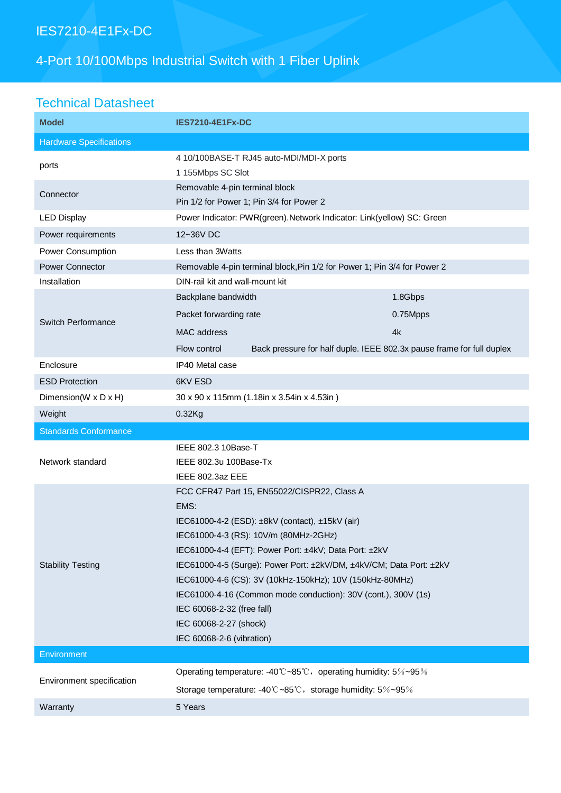## IES7210-4E1Fx-DC

## 4-Port 10/100Mbps Industrial Switch with 1 Fiber Uplink

## Technical Datasheet

| <b>Model</b>                   | <b>IES7210-4E1Fx-DC</b>                                                                                                                                                                                                                                                                                                                                                                                                                                                                            |          |
|--------------------------------|----------------------------------------------------------------------------------------------------------------------------------------------------------------------------------------------------------------------------------------------------------------------------------------------------------------------------------------------------------------------------------------------------------------------------------------------------------------------------------------------------|----------|
| <b>Hardware Specifications</b> |                                                                                                                                                                                                                                                                                                                                                                                                                                                                                                    |          |
| ports                          | 4 10/100BASE-T RJ45 auto-MDI/MDI-X ports<br>1 155Mbps SC Slot                                                                                                                                                                                                                                                                                                                                                                                                                                      |          |
| Connector                      | Removable 4-pin terminal block<br>Pin 1/2 for Power 1; Pin 3/4 for Power 2                                                                                                                                                                                                                                                                                                                                                                                                                         |          |
| <b>LED Display</b>             | Power Indicator: PWR(green). Network Indicator: Link(yellow) SC: Green                                                                                                                                                                                                                                                                                                                                                                                                                             |          |
| Power requirements             | 12~36V DC                                                                                                                                                                                                                                                                                                                                                                                                                                                                                          |          |
| Power Consumption              | Less than 3Watts                                                                                                                                                                                                                                                                                                                                                                                                                                                                                   |          |
| <b>Power Connector</b>         | Removable 4-pin terminal block, Pin 1/2 for Power 1; Pin 3/4 for Power 2                                                                                                                                                                                                                                                                                                                                                                                                                           |          |
| Installation                   | DIN-rail kit and wall-mount kit                                                                                                                                                                                                                                                                                                                                                                                                                                                                    |          |
| Switch Performance             | Backplane bandwidth                                                                                                                                                                                                                                                                                                                                                                                                                                                                                | 1.8Gbps  |
|                                | Packet forwarding rate                                                                                                                                                                                                                                                                                                                                                                                                                                                                             | 0.75Mpps |
|                                | MAC address                                                                                                                                                                                                                                                                                                                                                                                                                                                                                        | 4k       |
|                                | Back pressure for half duple. IEEE 802.3x pause frame for full duplex<br>Flow control                                                                                                                                                                                                                                                                                                                                                                                                              |          |
| Enclosure                      | IP40 Metal case                                                                                                                                                                                                                                                                                                                                                                                                                                                                                    |          |
| <b>ESD Protection</b>          | 6KV ESD                                                                                                                                                                                                                                                                                                                                                                                                                                                                                            |          |
| Dimension(W x D x H)           | 30 x 90 x 115mm (1.18in x 3.54in x 4.53in)                                                                                                                                                                                                                                                                                                                                                                                                                                                         |          |
| Weight                         | $0.32$ Kg                                                                                                                                                                                                                                                                                                                                                                                                                                                                                          |          |
| <b>Standards Conformance</b>   |                                                                                                                                                                                                                                                                                                                                                                                                                                                                                                    |          |
| Network standard               | IEEE 802.3 10Base-T<br>IEEE 802.3u 100Base-Tx<br>IEEE 802.3az EEE                                                                                                                                                                                                                                                                                                                                                                                                                                  |          |
| <b>Stability Testing</b>       | FCC CFR47 Part 15, EN55022/CISPR22, Class A<br>EMS:<br>IEC61000-4-2 (ESD): ±8kV (contact), ±15kV (air)<br>IEC61000-4-3 (RS): 10V/m (80MHz-2GHz)<br>IEC61000-4-4 (EFT): Power Port: ±4kV; Data Port: ±2kV<br>IEC61000-4-5 (Surge): Power Port: ±2kV/DM, ±4kV/CM; Data Port: ±2kV<br>IEC61000-4-6 (CS): 3V (10kHz-150kHz); 10V (150kHz-80MHz)<br>IEC61000-4-16 (Common mode conduction): 30V (cont.), 300V (1s)<br>IEC 60068-2-32 (free fall)<br>IEC 60068-2-27 (shock)<br>IEC 60068-2-6 (vibration) |          |
| Environment                    |                                                                                                                                                                                                                                                                                                                                                                                                                                                                                                    |          |
| Environment specification      | Operating temperature: -40°C~85°C, operating humidity: 5%~95%                                                                                                                                                                                                                                                                                                                                                                                                                                      |          |
|                                | Storage temperature: -40°C~85°C, storage humidity: 5%~95%                                                                                                                                                                                                                                                                                                                                                                                                                                          |          |
| Warranty                       | 5 Years                                                                                                                                                                                                                                                                                                                                                                                                                                                                                            |          |